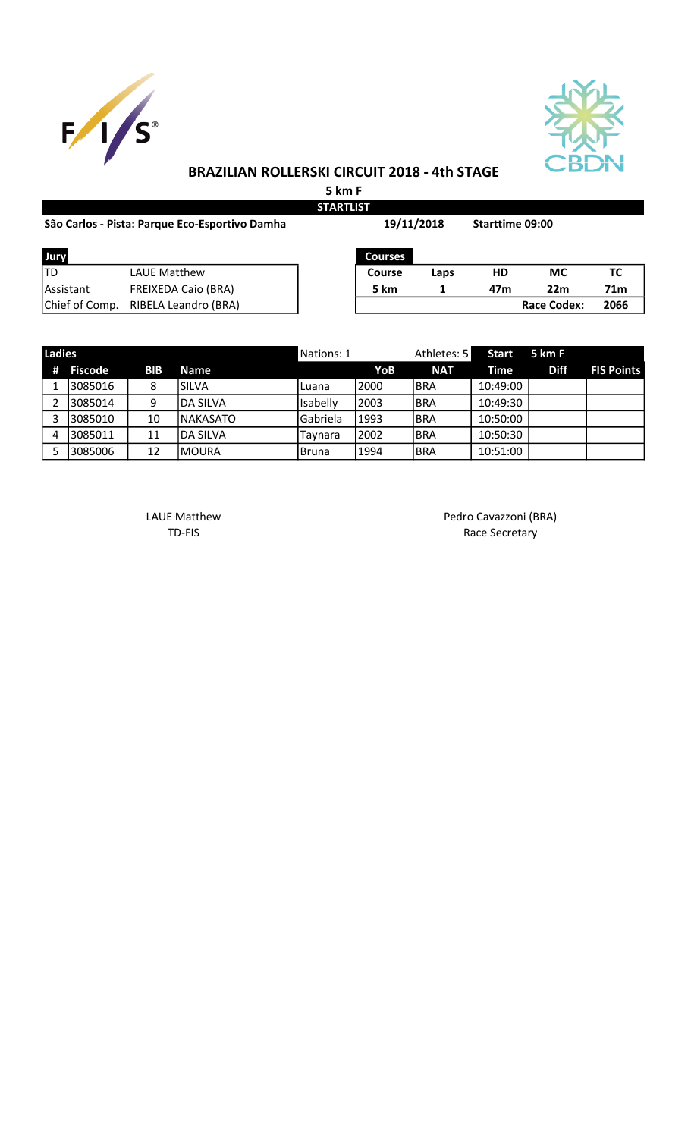



## BRAZILIAN ROLLERSKI CIRCUIT 2018 - 4th STAGE

5 km F

| <b>STARTLIST</b>                               |                            |  |                |      |     |                    |                 |  |  |
|------------------------------------------------|----------------------------|--|----------------|------|-----|--------------------|-----------------|--|--|
| São Carlos - Pista: Parque Eco-Esportivo Damha |                            |  | 19/11/2018     |      |     | Starttime 09:00    |                 |  |  |
| Jury                                           |                            |  | <b>Courses</b> |      |     |                    |                 |  |  |
| lTD                                            | <b>LAUE Matthew</b>        |  | <b>Course</b>  | Laps | HD  | МC                 | ТC              |  |  |
| <b>IAssistant</b>                              | <b>FREIXEDA Caio (BRA)</b> |  | 5 km           |      | 47m | 22m                | 71 <sub>m</sub> |  |  |
| Chief of Comp.                                 | RIBELA Leandro (BRA)       |  |                |      |     | <b>Race Codex:</b> | 2066            |  |  |

| <b>Ladies</b> |         |            |                  | Nations: 1 |       | Athletes: 5 | Start 5 km F |             |                   |
|---------------|---------|------------|------------------|------------|-------|-------------|--------------|-------------|-------------------|
| #             | Fiscode | <b>BIB</b> | <b>Name</b>      |            | YoB   | <b>NAT</b>  | Time         | <b>Diff</b> | <b>FIS Points</b> |
|               | 3085016 |            | ISILVA           | Luana      | 12000 | <b>BRA</b>  | 10:49:00     |             |                   |
|               | 3085014 | 9          | <b>IDA SILVA</b> | Isabelly   | 2003  | <b>BRA</b>  | 10:49:30     |             |                   |
|               | 3085010 | 10         | <b>INAKASATO</b> | Gabriela   | 1993  | <b>BRA</b>  | 10:50:00     |             |                   |
| 4             | 3085011 | 11         | IDA SILVA        | Taynara    | 2002  | <b>BRA</b>  | 10:50:30     |             |                   |
|               | 3085006 | 12         | IMOURA           | Bruna      | 1994  | <b>BRA</b>  | 10:51:00     |             |                   |

LAUE Matthew **Pedro Cavazzoni** (BRA) TD-FIS Race Secretary